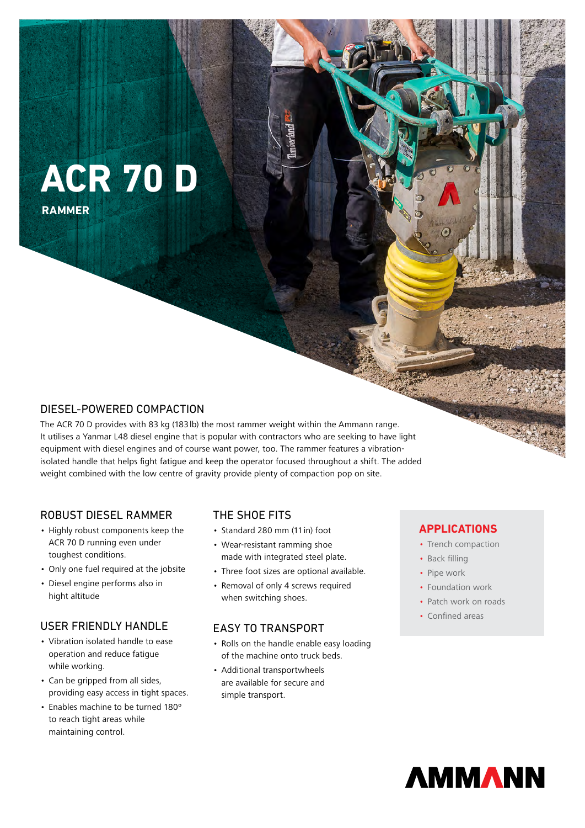# **ACR 70 D**

**RAMMER**

# DIESEL-POWERED COMPACTION

The ACR 70 D provides with 83 kg (183lb) the most rammer weight within the Ammann range. It utilises a Yanmar L48 diesel engine that is popular with contractors who are seeking to have light equipment with diesel engines and of course want power, too. The rammer features a vibrationisolated handle that helps fight fatigue and keep the operator focused throughout a shift. The added weight combined with the low centre of gravity provide plenty of compaction pop on site.

## ROBUST DIESEL RAMMER

- Highly robust components keep the ACR 70 D running even under toughest conditions.
- Only one fuel required at the jobsite
- Diesel engine performs also in hight altitude

# USER FRIENDLY HANDLE

- Vibration isolated handle to ease operation and reduce fatigue while working.
- Can be gripped from all sides, providing easy access in tight spaces.
- Enables machine to be turned 180º to reach tight areas while maintaining control.

## THE SHOE FITS

- Standard 280 mm (11in) foot
- Wear-resistant ramming shoe made with integrated steel plate.
- Three foot sizes are optional available.
- Removal of only 4 screws required when switching shoes.

## EASY TO TRANSPORT

- Rolls on the handle enable easy loading of the machine onto truck beds.
- Additional transportwheels are available for secure and simple transport.

## **APPLICATIONS**

- Trench compaction
- Back filling
- Pipe work
- Foundation work
- Patch work on roads
- Confined areas